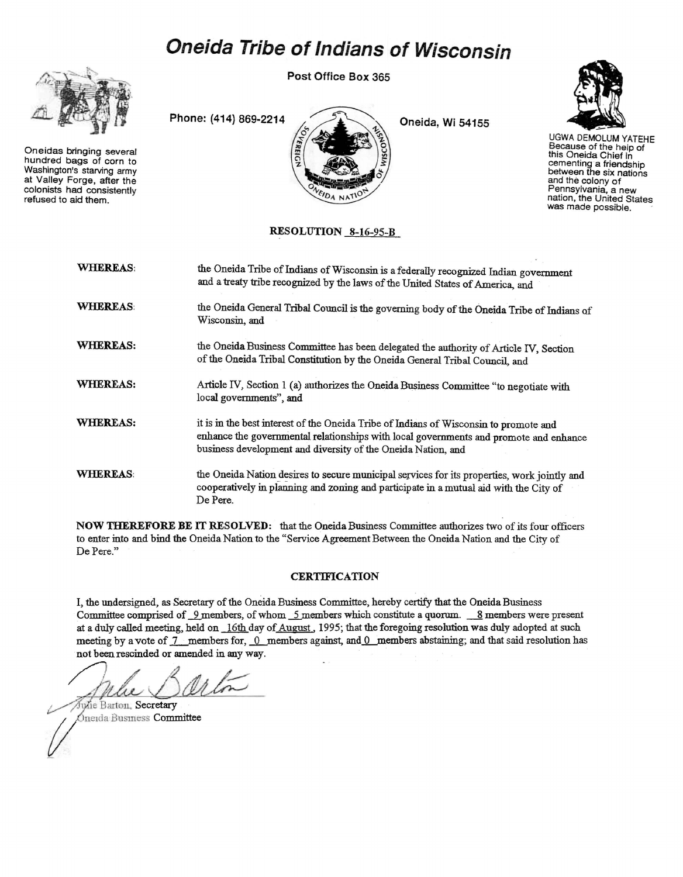# **Oneida Tribe ofIndians of Wisconsin**

Post Office Box 365



Oneidas bringing several hundred bags of corn to Washington's starving army at Valley Forge, after the colonists had consistently refused to aid them.



Oneida, Wi 54155



UGWA DEMOLUM YATEHE Because of the help of this Oneida Chief in cementing a friendship between the six nations and the colony of Pennsylvania, a new nation, the United States was made possible.

## RESOLUTION 8-16-95-B

| <b>WHEREAS:</b> | the Oneida Tribe of Indians of Wisconsin is a federally recognized Indian government<br>and a treaty tribe recognized by the laws of the United States of America, and                                                                         |
|-----------------|------------------------------------------------------------------------------------------------------------------------------------------------------------------------------------------------------------------------------------------------|
| <b>WHEREAS</b>  | the Oneida General Tribal Council is the governing body of the Oneida Tribe of Indians of<br>Wisconsin, and                                                                                                                                    |
| WHEREAS:        | the Oneida Business Committee has been delegated the authority of Article IV, Section<br>of the Oneida Tribal Constitution by the Oneida General Tribal Council, and                                                                           |
| WHEREAS:        | Article IV, Section 1 (a) authorizes the Oneida Business Committee "to negotiate with<br>local governments", and                                                                                                                               |
| WHEREAS:        | it is in the best interest of the Oneida Tribe of Indians of Wisconsin to promote and<br>enhance the governmental relationships with local governments and promote and enhance<br>business development and diversity of the Oneida Nation, and |
| <b>WHEREAS:</b> | the Oneida Nation desires to secure municipal services for its properties, work jointly and<br>cooperatively in planning and zoning and participate in a mutual aid with the City of<br>De Pere.                                               |

NOW THEREFORE BE IT RESOLVED: that the Oneida Business Committee anthorizes two of its four officers to enter into and bind the Oneida Nation to the "Service Agreement Between the Oneida Nation and the City of De Pere."

#### **CERTIFICATION**

I, the undersigned, as Secretary of the Oneida Business Committee, hereby certify that the Oneida Business Committee comprised of 9 members, of whom 5 members which constitute a quorum. 8 members were present at a duly called meeting, held on 16th day of August, 1995; that the foregoing resolution was duly adopted at such meeting by a vote of  $7$  members for,  $0$  members against, and  $0$  members abstaining; and that said resolution has not been rescinded or amended in any way.

Jule Barton

A Man DOU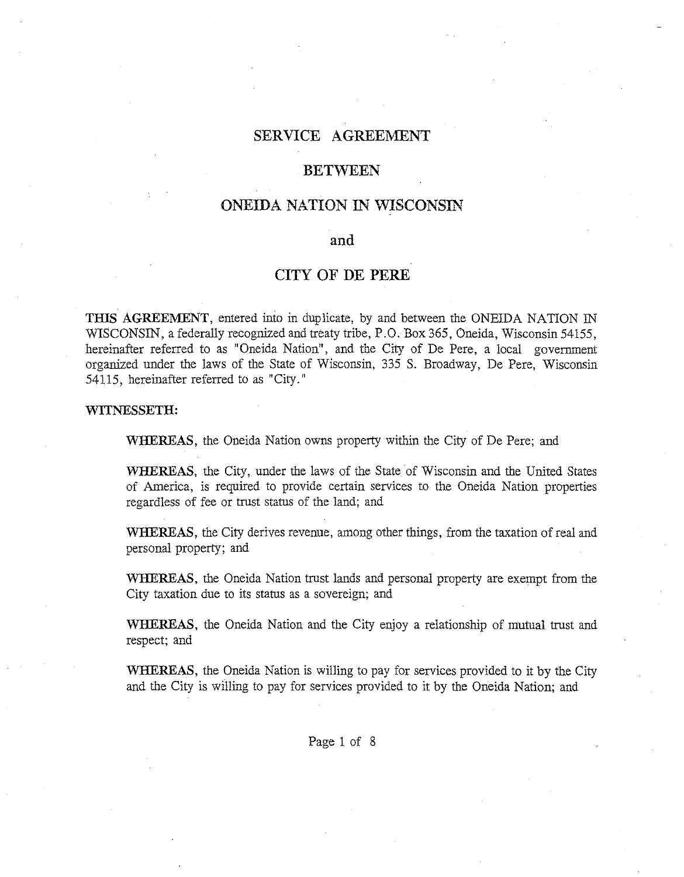# **SERVICE AGREEMENT**

## **BETWEEN**

## **ONEIDA NATION IN WISCONSIN**

## **and**

## **CITY OF DE PERE**

**THIS AGREEMENT,** entered into in duplicate, by and between the ONEIDA NATION IN WISCONSIN, a federally recognized and treaty tribe, P.O. Box 365, Oneida, Wisconsin 54155, hereinafter referred to as "Oneida Nation", and the City of De Pere, a local government organized under the laws of the State of Wisconsin, 335 S. Broadway, De Pere, Wisconsin 54115, hereinafter referred to as "City."

#### **WITNESSETH:**

**WHEREAS,** the Oneida Nation owns property within the City of De Pere; and

**WHEREAS,** the City, under the laws of the State of Wisconsin and the United States of America, is required to provide certain services to the Oneida Nation properties regardless of fee or trust status of the land; and

**WHEREAS,** the City derives revenue, among other things, from the taxation of real and personal property; and

**WHEREAS,** the Oneida Nation trust lands and personal property are exempt from the City taxation due to its status as a sovereign; and

**WHEREAS,** the Oneida Nation and the City enjoy a relationship of mutual trust and respect; and

**WHEREAS,** the Oneida Nation is willing to pay for services provided to it by the City and the City is willing to pay for services provided to it by the Oneida Nation; and

Page 1 of 8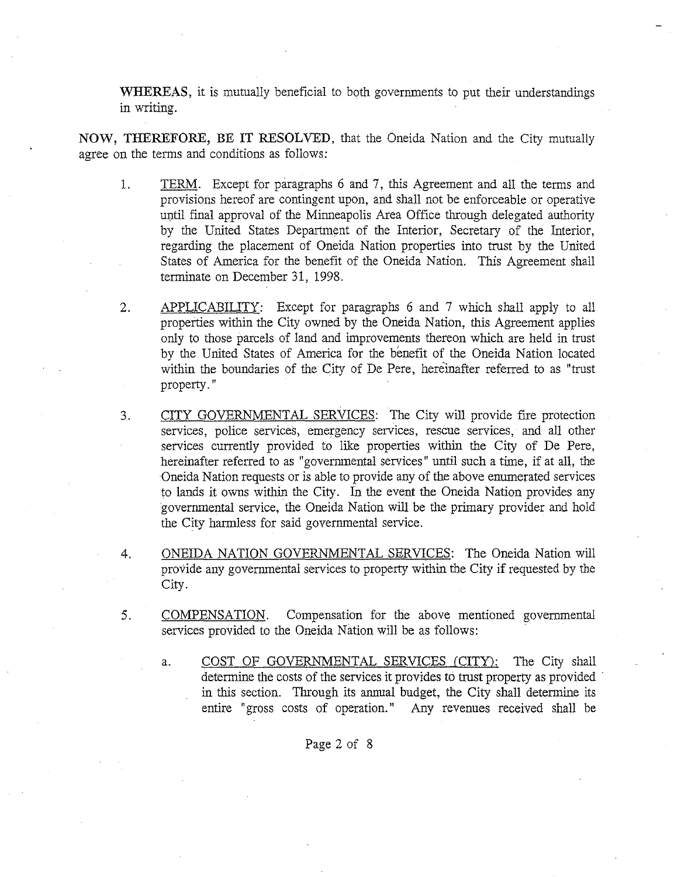**WHEREAS,** it is mutually beneficial to both governments to put their understandings in writing.

**NOW, THEREFORE, BE IT RESOLVED,** that the Oneida Nation and the City mutually agree on the terms and conditions as follows:

- 1. TERM. Except for paragraphs 6 and 7, this Agreement and all the terms and provisions hereof are contingent upon, and shall not be enforceable or operative until final approval of the Minneapolis Area Office through delegated authority by the United States Department of the Interior, Secretary of the Interior, regarding the placement of Oneida Nation properties into trust by the United States of America for the benefit of the Oneida Nation. This Agreement shall terminate on December 31, 1998.
- 2. APPLICABILITY: Except for paragraphs 6 and 7 which shall apply to all properties within the City owned by the Oneida Nation, this Agreement applies only to those parcels of land and improvements thereon which are held in trust by the United States of America for the benefit of the Oneida Nation located within the boundaries of the City of De Pere, hereinafter referred to as "trust property. "
- 3. CITY GOVERNMENTAL SERVICES: The City will provide fire protection services, police services, emergency services, rescue services, and all other services currently provided to like properties within the City of De Pere, hereinafter referred to as "governmental services" until such a time, if at all, the Oneida Nation requests or is able to provide any of the above enumerated services to lands it owns within the City. In the event the Oneida Nation provides any govermnental service, the Oneida Nation will be the primary provider and hold the City harmless for said governmental service.
- 4. ONEIDA NATION GOVERNMENTAL SERVICES: The Oneida Nation will provide any governmental services to property within the City if requested by the City.
- 5. COMPENSATION. Compensation for the above mentioned governmental services provided to the Oneida Nation will be as follows:

a. COST OF GOVERNMENTAL SERVICES (CITY): The City shall determine the costs of the services it provides to trust property as provided in this section. Through its annual budget, the City shall determine its entire "gross costs of operation." Any revenues received shall be

## Page 2 of 8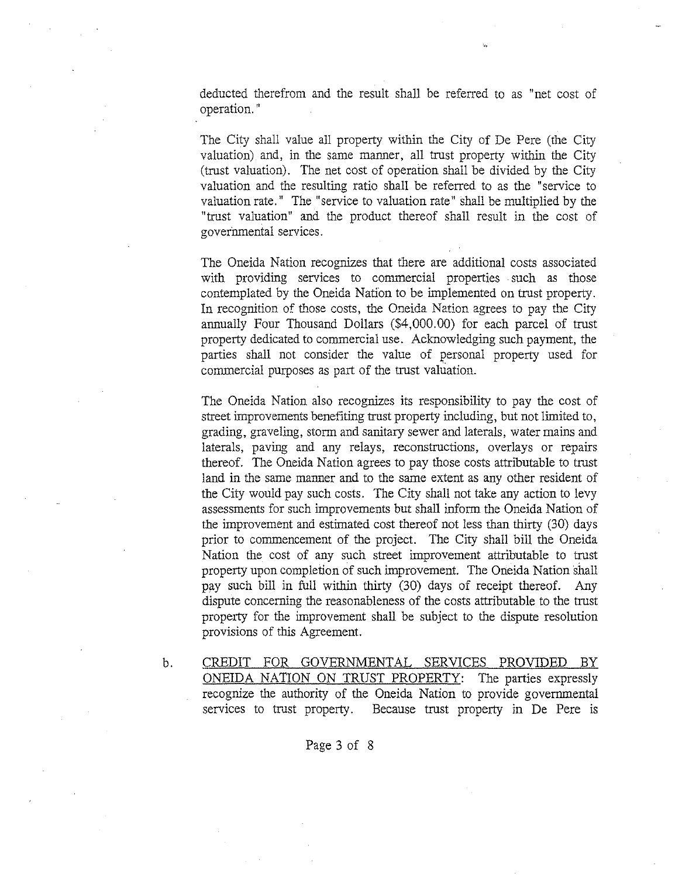deducted therefrom and the result shall be referred to as "net cost of operation. "

The City shall value all property within the City of De Pere (the City valuation) and, in the same manner, all trust property within the City (trust valuation). The net cost of operation shall be divided by the City valuation and the resulting ratio shall be referred to as the "service to valuation rate." The "service to valuation rate" shall be multiplied by the "trust valuation" and the product thereof shall result in the cost of governmental services.

The Oneida Nation recognizes that there are additional costs associated with providing services to commercial properties such as those contemplated by the Oneida Nation to be implemented on trust property. In recognition of those costs, the Oneida Nation agrees to pay the City annually Four Thousand Dollars (\$4,000.00) for each parcel of trust property dedicated to commercial use. Acknowledging such payment, the parties shall not consider the value of personal property used for commercial purposes as part of the trust valuation.

The Oneida Nation also recognizes its responsibility to pay the cost of street improvements benefiting trust property including, but not limited to, grading, graveling, storm and sanitary sewer and laterals, water mains and laterals, paving and any relays, reconstructions, overlays or repairs thereof. The Oneida Nation agrees to pay those costs attributable to trust land in the same manner and to the same extent as any other resident of the City would pay such costs. The City shall not take any action to levy assessments for such improvements but shall inform the Oneida Nation of the improvement and estimated cost thereof not less than thirty (30) days prior to commencement of the project. The City shall bill the Oneida Nation the cost of any such street improvement attributable to trust property upon completion of such improvement. The Oneida Nation shall pay such bill in full within thirty (30) days of receipt thereof. Any dispute concerning the reasonableness of the costs attributable to the trust property for the improvement shall be subject to the dispute resolution provisions of this Agreement.

b. CREDIT FOR GOVERNMENTAL SERVICES PROVIDED BY ONEIDA NATION ON TRUST PROPERTY: The parties expressly recognize the authority of the Oneida Nation to provide goverrnnental services to trust property. Because trust property in De Pere is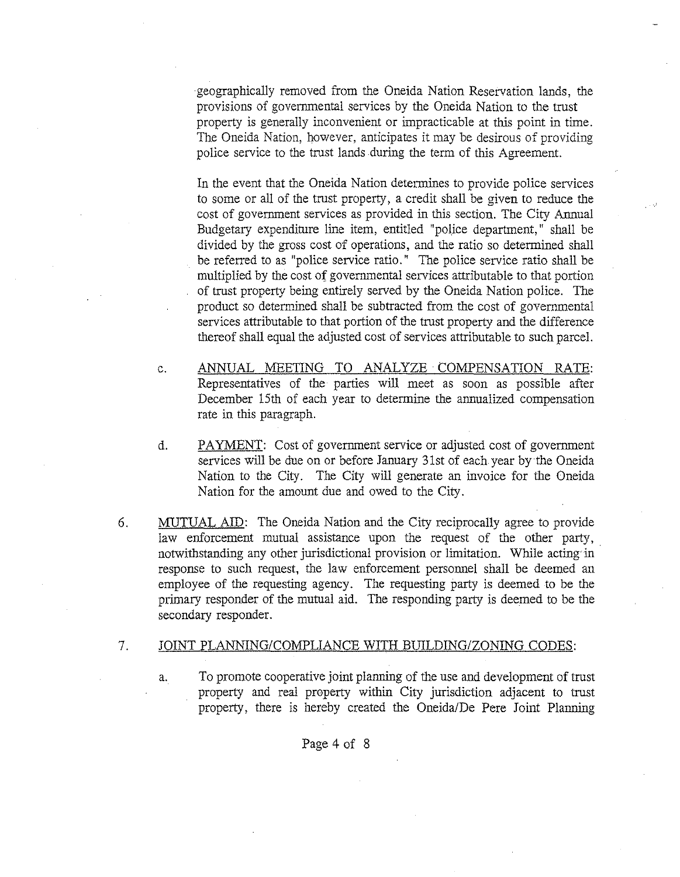geographically removed from the Oneida Nation Reservation lands, the provisions of govermnental services by the Oneida Nation to the trust property is generally inconvenient or impracticable at this point in time. The Oneida Nation, however, anticipates it may be desirous of providing police service to the trust lands during the term of this Agreement.

In the event that the Oneida Nation determines to provide police services to some or all of the trust property, a credit shall be given to reduce the cost of govermnent services as provided in this section. The City Annual Budgetary expenditure line item, entitled "police department," shall be divided by the gross cost of operations, and the ratio so determined shall be referred to as "police service ratio." The police service ratio shall be multiplied by the cost of govermnental services attributable to that portion of trust property being entirely served by the Oneida Nation police. The product so determined shall be subtracted from the cost of govermnental services attributable to that portion of the trust property and the difference thereof shall equal the adjusted cost of services attributable to such parcel.

- c. ANNUAL MEETING TO ANALYZE· COMPENSATION RATE: Representatives of the parties will meet as soon as possible after December 15th of each year to determine the annualized compensation rate in this paragraph.
- d. PAYMENT: Cost of govermnent service or adjusted cost of govermnent services will be due on or before January 31st of each year by the Oneida Nation to the City. The City will generate an invoice for the Oneida Nation for the amount due and owed to the City.
- 6. MUTUAL AID: The Oneida Nation and the City reciprocally agree to provide law enforcement mutual assistance upon the request of the other party, notwithstanding any other jurisdictional provision or limitation. While acting in response to such request, the law enforcement personnel shall be deemed an employee of the requesting agency. The requesting party is deemed to be the primary responder of the mutual aid. The responding party is deemed to be the secondary responder.

#### 7. JOINT PLANNING/COMPLIANCE WITH BUILDING/ZONING CODES:

a. To promote cooperative joint planning of the use and development of trust property and real property within City jurisdiction adjacent to trust property, there is hereby created the Oneida/De Pere Joint Planning

## Page 4 of 8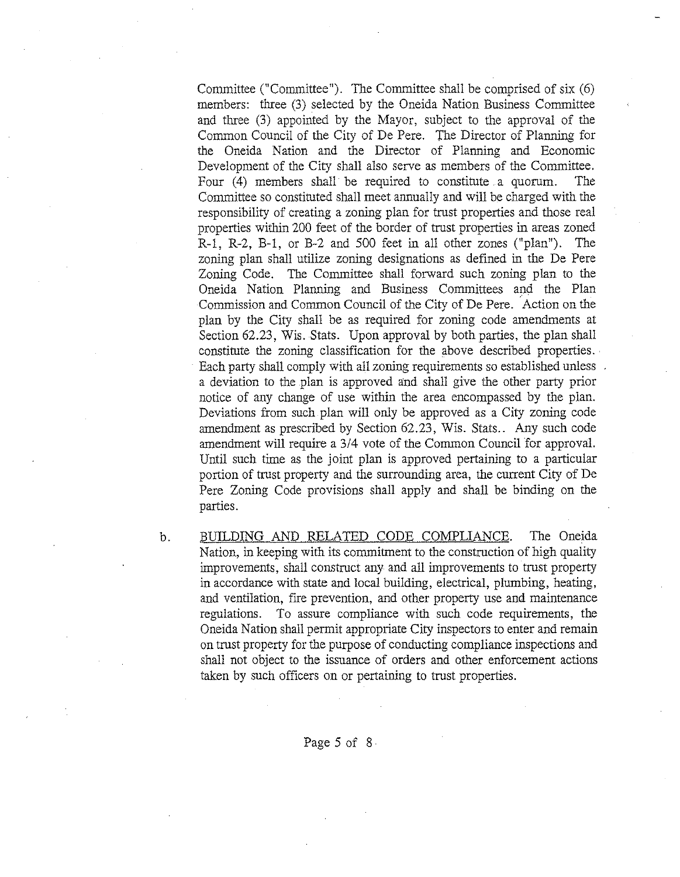Committee ("Committee"). The Committee shall be comprised of six (6) members: three (3) selected by the Oneida Nation Business Committee and three (3) appointed by the Mayor, subject to the approval of the Common Council of the City of De Pere. The Director of Planning for the Oneida Nation and the Director of Planning and Economic Development of the City shall also serve as members of the Committee. Four (4) members shall be required to constitute a quorum. The Committee so constituted shall meet annually and will be charged with the responsibility of creating a zoning plan for trust properties and those real properties within 200 feet of the border of trust properties in areas zoned R-l, R-2, B-1, or B-2 and 500 feet in all other zones ("plan"). The zoning plan shall utilize zoning designations as defined in the De Pere Zoning Code. The Committee shall forward such zoning plan to the Oneida Nation Planning and Business Committees and the Plan Commission and Common Council of the City of De Pere. Action on the plan by the City shall be as required for zoning code amendments at Section 62.23, Wis. Stats. Upon approval by both parties, the plan shall constitute the zoning classification for the above described properties.. Each party shall comply with all zoning requirements so established unless and a deviation to the plan is approved and shall give the other party prior notice of any change of use within the area encompassed by the plan. Deviations from such plan will only be approved as a City zoning code amendment as prescribed by Section 62.23, Wis. Stats.. Any such code amendment will require a 3/4 vote of the Common Council for approval. Until such time as the joint plan is approved pertaining to a particular portion of trust property and the surrounding area, the current City of De Pere Zoning Code provisions shall apply and shall be binding on the parties.

b. BUILDING AND RELATED CODE COMPLIANCE. The Oneida Nation, in keeping with its commitment to the construction of high quality improvements, shall construct any and all improvements to trust property in accordance with state and local building, electrical, plumbing, heating, and ventilation, fire prevention, and other property use and maintenance regulations. To assure compliance with such code requirements, the Oneida Nation shall permit appropriate City inspectors to enter and remain on trust property for the purpose of conducting compliance inspections and shall not object to the issuance of orders and other enforcement actions taken by such officers on or pertaining to trust properties.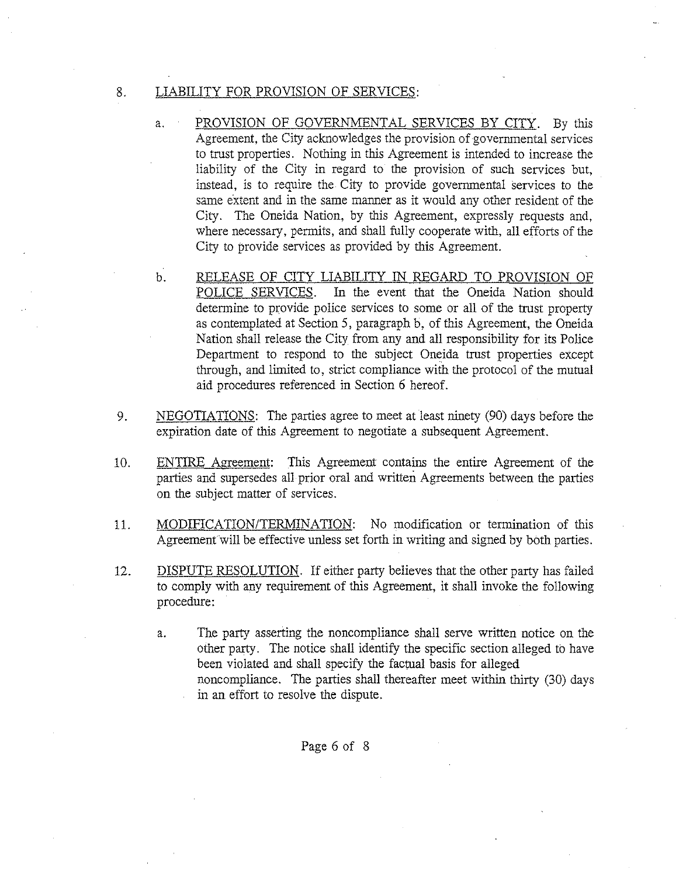## 8. LIABILITY FOR PROVISION OF SERVICES:

- a. PROVISION OF GOVERNMENTAL SERVICES BY CITY. By this Agreement, the City acknowledges the provision of governmental services to trust properties. Nothing in this Agreement is intended to increase the liability of the City in regard to the provision of such services but, instead, is to require the City to provide governmental services to the same extent and in the same manner as it would any other resident of the City. The Oneida Nation, by this Agreement, expressly requests and, where necessary, permits, and shall fully cooperate with, all efforts of the City to provide services as provided by this Agreement.
- b. RELEASE OF CITY LIABILITY IN REGARD TO PROVISION OF POLICE SERVICES. In the event that the Oneida Nation should determine to provide police services to some or all of the trust property as contemplated at Section 5, paragraph b, of this Agreement, the Oneida Nation shall release the City from any and all responsibility for its Police Department to respond to the subject Oneida trust properties except through, and limited to, strict compliance with the protocol of the mutual aid procedures referenced in Section 6 hereof.
- 9. NEGOTIATIONS: The parties agree to meet at least ninety (90) days before the expiration date of this Agreement to negotiate a subsequent Agreement.
- 10. ENTIRE Agreement: This Agreement contains the entire Agreement of the parties and supersedes all prior oral and written Agreements between the parties on the SUbject matter of services.
- 11. MODIFICATION/TERMINATION: No modification or termination of this Agreement will be effective unless set forth in writing and signed by both parties.
- 12. DISPUTE RESOLUTION. If either party believes that the other party has failed to comply with any requirement of this Agreement, it shall invoke the following procedure:
	- a. The party asserting the noncompliance shall serve written notice on the other party. The notice shall identify the specific section alleged to have been violated and shall specify the factual basis for alleged noncompliance. The parties shall thereafter meet within thirty (30) days in an effort to resolve the dispute.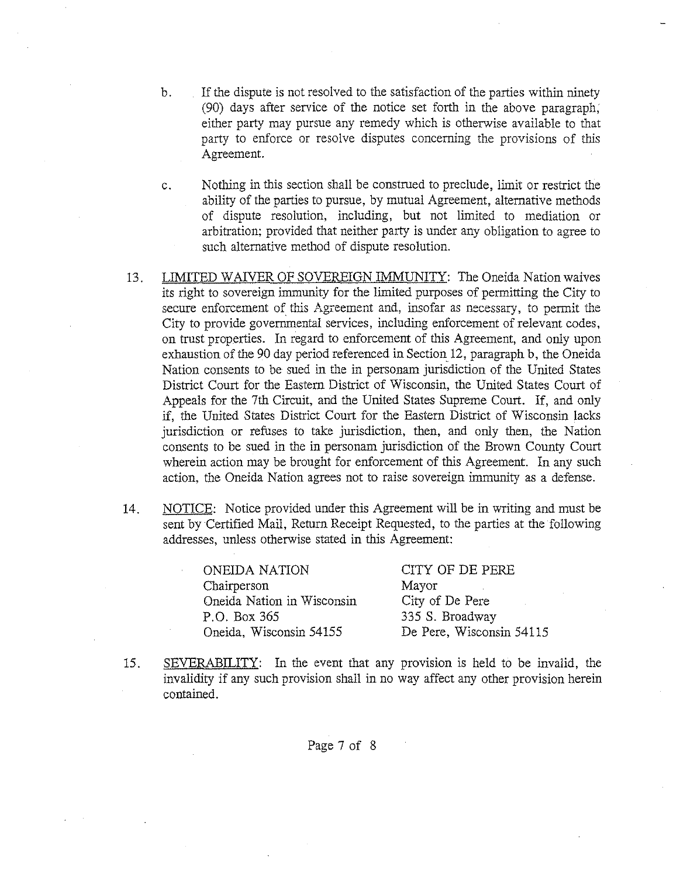- b. If the dispute is not resolved to the satisfaction of the parties within ninety (90) days after service of the notice set forth in the above paragraph; either party may pursue any remedy which is otherwise available to that party to enforce or resolve disputes concerning the provisions of this Agreement.
- c. Nothing in this section shall be construed to preclude, limit or restrict the ability of the parties to pursue, by mutual Agreement, alternative methods of dispute resolution, including, but not limited to mediation or arbitration; provided that neither party is under any obligation to agree to such alternative method of dispute resolution.
- 13. LIMITED WAIVER OF SOVEREIGN IMMUNITY: The Oneida Nation waives its right to sovereign immunity for the limited purposes of permitting the City to secure enforcement of this Agreement and, insofar as necessary, to permit the City to provide governmental services, including enforcement of relevant codes, on trust properties. In regard to enforcement of this Agreement, and only upon exhaustion of the 90 day period referenced in Section 12, paragraph b, the Oneida Nation consents to be sued in the in personam jurisdiction of the United States District Court for the Eastern District of Wisconsin, the United States Court of Appeals for the 7th Circuit, and the United States Supreme Court. If, and only if, the United States District Court for the Eastern District of Wisconsin lacks jurisdiction or refuses to take jurisdiction, then, and only then, the Nation consents to be sued in the in personam jurisdiction of the Brown County Court wherein action may be brought for enforcement of this Agreement. In any such action, the Oneida Nation agrees not to raise sovereign immunity as a defense.
- 14. NOTICE: Notice provided under this Agreement will be in writing and must be sent by Certified Mail, Return Receipt Requested, to the parties at the following addresses, unless otherwise stated in this Agreement:

ONEIDA NATION Chairperson Oneida Nation in Wisconsin P.O. Box 365 Oneida, Wisconsin 54155 CITY OF DE PERE Mayor City of De Pere 335 S. Broadway De Pere, Wisconsin 54115

15. SEVERABILITY: In the event that any provision is held to be invalid, the invalidity if any such provision shall in no way affect any other provision herein contained.

Page 7 of 8